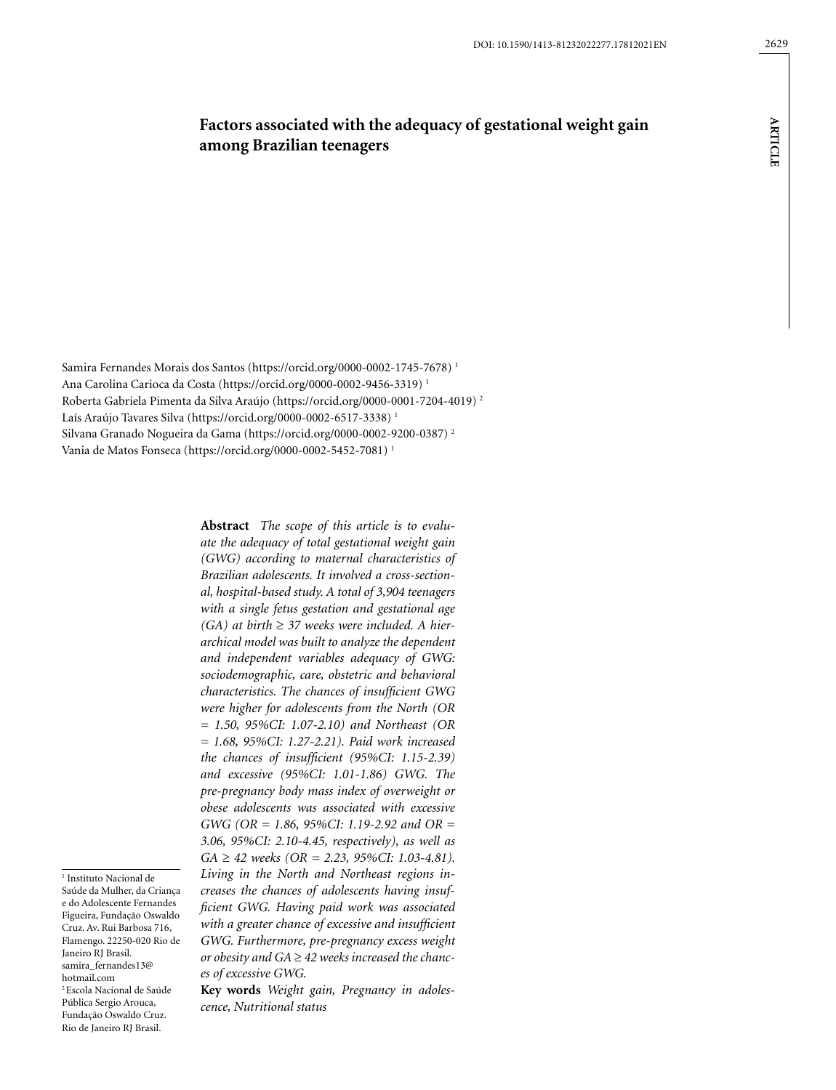**ARTICLE**

**ARTICLE** 

# **Factors associated with the adequacy of gestational weight gain among Brazilian teenagers**

Samira Fernandes Morais dos Santos (https://orcid.org/0000-0002-1745-7678) 1 Ana Carolina Carioca da Costa (https://orcid.org/0000-0002-9456-3319) 1 Roberta Gabriela Pimenta da Silva Araújo (https://orcid.org/0000-0001-7204-4019) 2 Laís Araújo Tavares Silva (https://orcid.org/0000-0002-6517-3338)<sup>1</sup> Silvana Granado Nogueira da Gama (https://orcid.org/0000-0002-9200-0387) 2 Vania de Matos Fonseca [\(https://orcid.org/0000-0002-5452-7081](https://orcid.org/0000-0002-5452-7081)) 1

1 Instituto Nacional de Saúde da Mulher, da Criança e do Adolescente Fernandes Figueira, Fundação Oswaldo Cruz. Av. Rui Barbosa 716, Flamengo. 22250-020 Rio de Janeiro RJ Brasil. samira\_fernandes13@ hotmail.com 2 Escola Nacional de Saúde Pública Sergio Arouca, Fundação Oswaldo Cruz. Rio de Janeiro RJ Brasil.

*ate the adequacy of total gestational weight gain (GWG) according to maternal characteristics of Brazilian adolescents. It involved a cross-sectional, hospital-based study. A total of 3,904 teenagers with a single fetus gestation and gestational age (GA) at birth* ≥ *37 weeks were included. A hierarchical model was built to analyze the dependent and independent variables adequacy of GWG: sociodemographic, care, obstetric and behavioral characteristics. The chances of insufficient GWG were higher for adolescents from the North (OR = 1.50, 95%CI: 1.07-2.10) and Northeast (OR = 1.68, 95%CI: 1.27-2.21). Paid work increased the chances of insufficient (95%CI: 1.15-2.39) and excessive (95%CI: 1.01-1.86) GWG. The pre-pregnancy body mass index of overweight or obese adolescents was associated with excessive GWG (OR = 1.86, 95%CI: 1.19-2.92 and OR = 3.06, 95%CI: 2.10-4.45, respectively), as well as GA* ≥ *42 weeks (OR = 2.23, 95%CI: 1.03-4.81). Living in the North and Northeast regions increases the chances of adolescents having insufficient GWG. Having paid work was associated with a greater chance of excessive and insufficient GWG. Furthermore, pre-pregnancy excess weight or obesity and GA* ≥ *42 weeks increased the chances of excessive GWG.* 

**Abstract** *The scope of this article is to evalu-*

**Key words** *Weight gain, Pregnancy in adolescence, Nutritional status*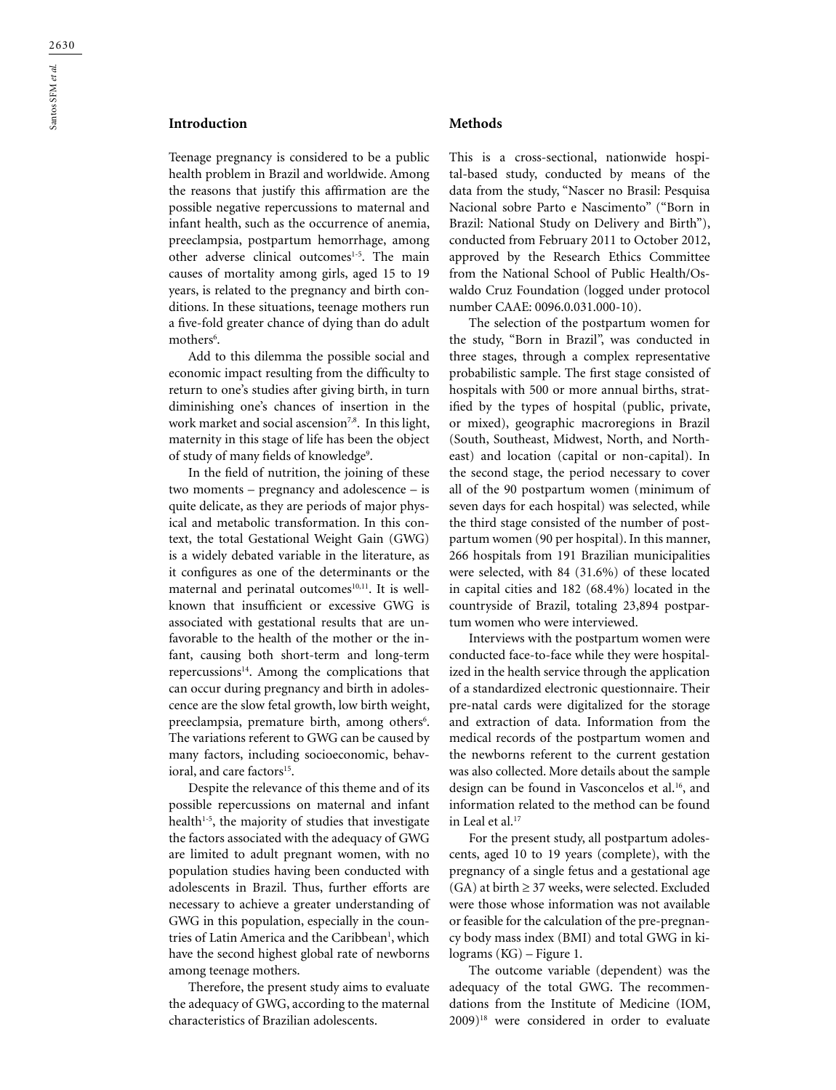## **Introduction**

Teenage pregnancy is considered to be a public health problem in Brazil and worldwide. Among the reasons that justify this affirmation are the possible negative repercussions to maternal and infant health, such as the occurrence of anemia, preeclampsia, postpartum hemorrhage, among other adverse clinical outcomes<sup>1-5</sup>. The main causes of mortality among girls, aged 15 to 19 years, is related to the pregnancy and birth conditions. In these situations, teenage mothers run a five-fold greater chance of dying than do adult mothers<sup>6</sup>.

Add to this dilemma the possible social and economic impact resulting from the difficulty to return to one's studies after giving birth, in turn diminishing one's chances of insertion in the work market and social ascension<sup>7,8</sup>. In this light, maternity in this stage of life has been the object of study of many fields of knowledge<sup>9</sup>.

In the field of nutrition, the joining of these two moments – pregnancy and adolescence – is quite delicate, as they are periods of major physical and metabolic transformation. In this context, the total Gestational Weight Gain (GWG) is a widely debated variable in the literature, as it configures as one of the determinants or the maternal and perinatal outcomes $10,11$ . It is wellknown that insufficient or excessive GWG is associated with gestational results that are unfavorable to the health of the mother or the infant, causing both short-term and long-term repercussions<sup>14</sup>. Among the complications that can occur during pregnancy and birth in adolescence are the slow fetal growth, low birth weight, preeclampsia, premature birth, among others<sup>6</sup>. The variations referent to GWG can be caused by many factors, including socioeconomic, behavioral, and care factors<sup>15</sup>.

Despite the relevance of this theme and of its possible repercussions on maternal and infant health $1-5$ , the majority of studies that investigate the factors associated with the adequacy of GWG are limited to adult pregnant women, with no population studies having been conducted with adolescents in Brazil. Thus, further efforts are necessary to achieve a greater understanding of GWG in this population, especially in the countries of Latin America and the Caribbean<sup>1</sup>, which have the second highest global rate of newborns among teenage mothers.

Therefore, the present study aims to evaluate the adequacy of GWG, according to the maternal characteristics of Brazilian adolescents.

#### **Methods**

This is a cross-sectional, nationwide hospital-based study, conducted by means of the data from the study, "Nascer no Brasil: Pesquisa Nacional sobre Parto e Nascimento" ("Born in Brazil: National Study on Delivery and Birth"), conducted from February 2011 to October 2012, approved by the Research Ethics Committee from the National School of Public Health/Oswaldo Cruz Foundation (logged under protocol number CAAE: 0096.0.031.000-10).

The selection of the postpartum women for the study, "Born in Brazil", was conducted in three stages, through a complex representative probabilistic sample. The first stage consisted of hospitals with 500 or more annual births, stratified by the types of hospital (public, private, or mixed), geographic macroregions in Brazil (South, Southeast, Midwest, North, and Northeast) and location (capital or non-capital). In the second stage, the period necessary to cover all of the 90 postpartum women (minimum of seven days for each hospital) was selected, while the third stage consisted of the number of postpartum women (90 per hospital). In this manner, 266 hospitals from 191 Brazilian municipalities were selected, with 84 (31.6%) of these located in capital cities and 182 (68.4%) located in the countryside of Brazil, totaling 23,894 postpartum women who were interviewed.

Interviews with the postpartum women were conducted face-to-face while they were hospitalized in the health service through the application of a standardized electronic questionnaire. Their pre-natal cards were digitalized for the storage and extraction of data. Information from the medical records of the postpartum women and the newborns referent to the current gestation was also collected. More details about the sample design can be found in Vasconcelos et al.16, and information related to the method can be found in Leal et al.<sup>17</sup>

For the present study, all postpartum adolescents, aged 10 to 19 years (complete), with the pregnancy of a single fetus and a gestational age (GA) at birth  $\geq$  37 weeks, were selected. Excluded were those whose information was not available or feasible for the calculation of the pre-pregnancy body mass index (BMI) and total GWG in kilograms (KG) – Figure 1.

The outcome variable (dependent) was the adequacy of the total GWG. The recommendations from the Institute of Medicine (IOM, 2009)18 were considered in order to evaluate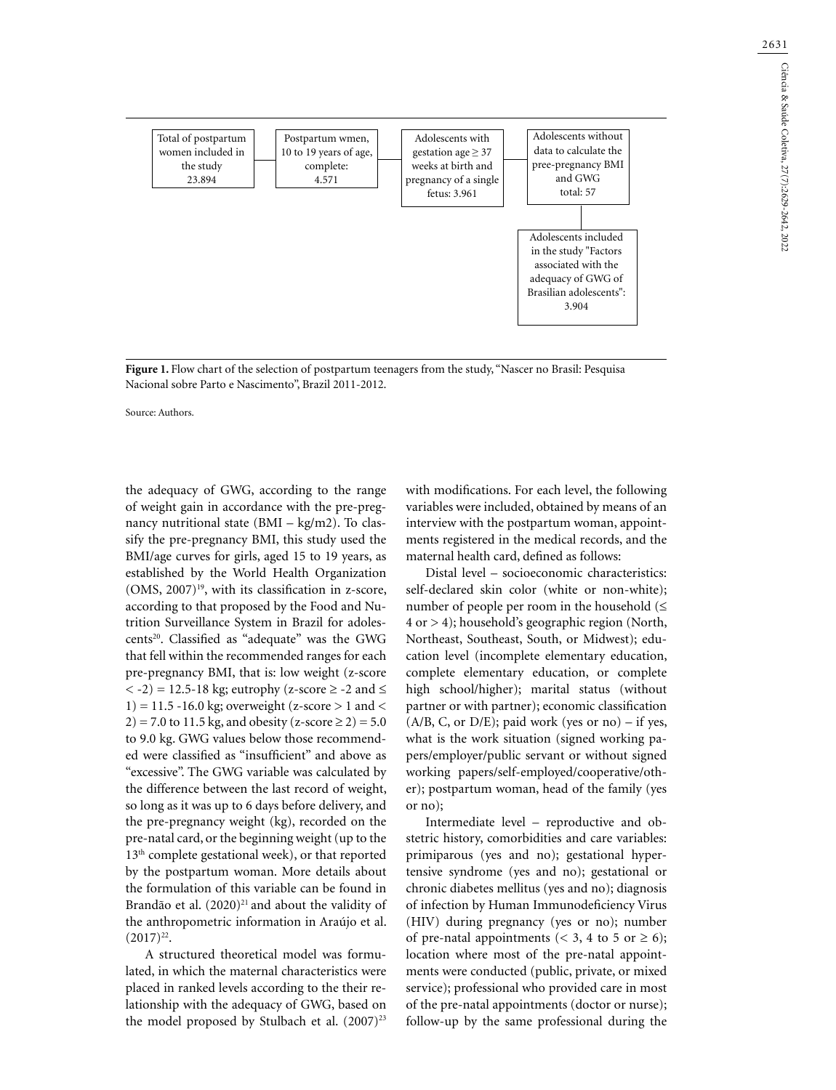

**Figure 1.** Flow chart of the selection of postpartum teenagers from the study, "Nascer no Brasil: Pesquisa Nacional sobre Parto e Nascimento", Brazil 2011-2012.

Source: Authors.

the adequacy of GWG, according to the range of weight gain in accordance with the pre-pregnancy nutritional state (BMI – kg/m2). To classify the pre-pregnancy BMI, this study used the BMI/age curves for girls, aged 15 to 19 years, as established by the World Health Organization  $(OMS, 2007)^{19}$ , with its classification in z-score, according to that proposed by the Food and Nutrition Surveillance System in Brazil for adolescents<sup>20</sup>. Classified as "adequate" was the GWG that fell within the recommended ranges for each pre-pregnancy BMI, that is: low weight (z-score  $<-2$ ) = 12.5-18 kg; eutrophy (z-score  $\geq$  -2 and  $\leq$ 1) = 11.5 -16.0 kg; overweight (z-score  $>$  1 and  $<$ 2) = 7.0 to 11.5 kg, and obesity (z-score  $\ge$  2) = 5.0 to 9.0 kg. GWG values below those recommended were classified as "insufficient" and above as "excessive". The GWG variable was calculated by the difference between the last record of weight, so long as it was up to 6 days before delivery, and the pre-pregnancy weight (kg), recorded on the pre-natal card, or the beginning weight (up to the 13<sup>th</sup> complete gestational week), or that reported by the postpartum woman. More details about the formulation of this variable can be found in Brandão et al. (2020)<sup>21</sup> and about the validity of the anthropometric information in Araújo et al.  $(2017)^{22}$ .

A structured theoretical model was formulated, in which the maternal characteristics were placed in ranked levels according to the their relationship with the adequacy of GWG, based on the model proposed by Stulbach et al. (2007)<sup>23</sup>

with modifications. For each level, the following variables were included, obtained by means of an interview with the postpartum woman, appointments registered in the medical records, and the maternal health card, defined as follows:

Distal level – socioeconomic characteristics: self-declared skin color (white or non-white); number of people per room in the household  $(\leq$ 4 or > 4); household's geographic region (North, Northeast, Southeast, South, or Midwest); education level (incomplete elementary education, complete elementary education, or complete high school/higher); marital status (without partner or with partner); economic classification  $(A/B, C, or D/E)$ ; paid work (yes or no) – if yes, what is the work situation (signed working papers/employer/public servant or without signed working papers/self-employed/cooperative/other); postpartum woman, head of the family (yes or no);

Intermediate level – reproductive and obstetric history, comorbidities and care variables: primiparous (yes and no); gestational hypertensive syndrome (yes and no); gestational or chronic diabetes mellitus (yes and no); diagnosis of infection by Human Immunodeficiency Virus (HIV) during pregnancy (yes or no); number of pre-natal appointments (< 3, 4 to 5 or  $\ge$  6); location where most of the pre-natal appointments were conducted (public, private, or mixed service); professional who provided care in most of the pre-natal appointments (doctor or nurse); follow-up by the same professional during the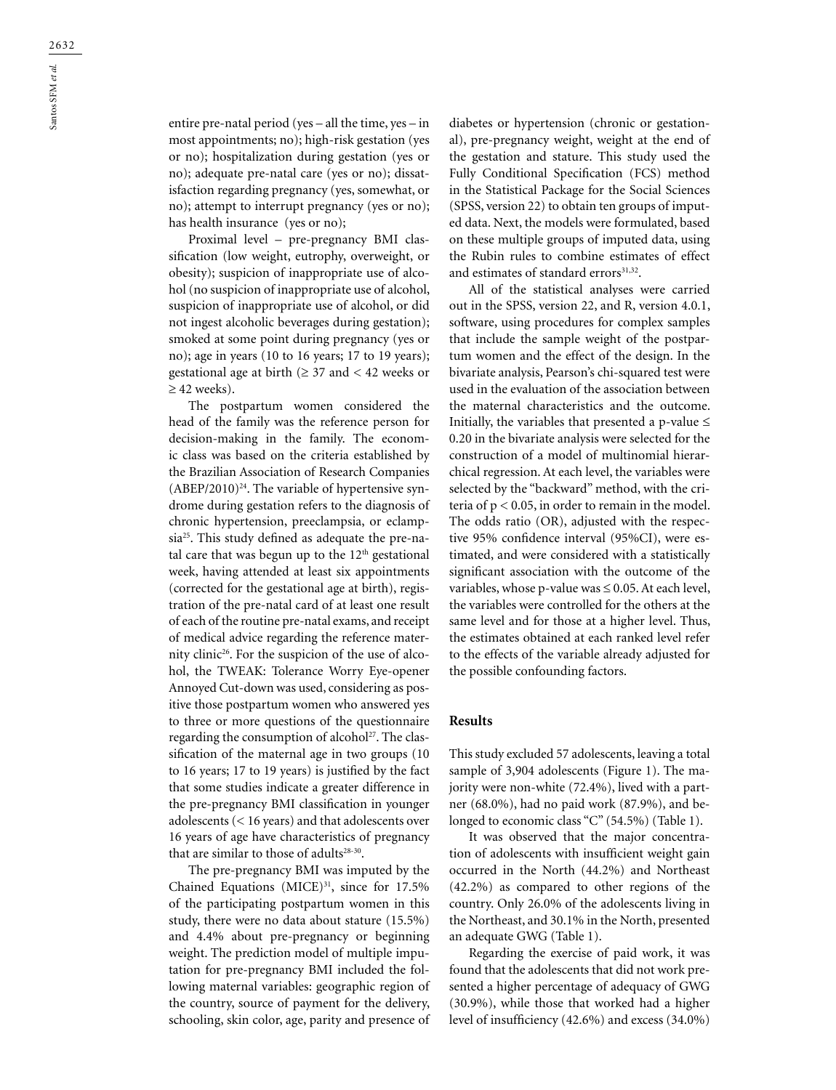entire pre-natal period (yes – all the time, yes – in most appointments; no); high-risk gestation (yes or no); hospitalization during gestation (yes or no); adequate pre-natal care (yes or no); dissatisfaction regarding pregnancy (yes, somewhat, or no); attempt to interrupt pregnancy (yes or no); has health insurance (yes or no);

Proximal level – pre-pregnancy BMI classification (low weight, eutrophy, overweight, or obesity); suspicion of inappropriate use of alcohol (no suspicion of inappropriate use of alcohol, suspicion of inappropriate use of alcohol, or did not ingest alcoholic beverages during gestation); smoked at some point during pregnancy (yes or no); age in years (10 to 16 years; 17 to 19 years); gestational age at birth ( $\geq$  37 and < 42 weeks or  $\geq$  42 weeks).

The postpartum women considered the head of the family was the reference person for decision-making in the family. The economic class was based on the criteria established by the Brazilian Association of Research Companies  $(ABEP/2010)<sup>24</sup>$ . The variable of hypertensive syndrome during gestation refers to the diagnosis of chronic hypertension, preeclampsia, or eclampsia25. This study defined as adequate the pre-natal care that was begun up to the 12<sup>th</sup> gestational week, having attended at least six appointments (corrected for the gestational age at birth), registration of the pre-natal card of at least one result of each of the routine pre-natal exams, and receipt of medical advice regarding the reference maternity clinic<sup>26</sup>. For the suspicion of the use of alcohol, the TWEAK: Tolerance Worry Eye-opener Annoyed Cut-down was used, considering as positive those postpartum women who answered yes to three or more questions of the questionnaire regarding the consumption of alcohol<sup>27</sup>. The classification of the maternal age in two groups (10 to 16 years; 17 to 19 years) is justified by the fact that some studies indicate a greater difference in the pre-pregnancy BMI classification in younger adolescents (< 16 years) and that adolescents over 16 years of age have characteristics of pregnancy that are similar to those of adults $28-30$ .

The pre-pregnancy BMI was imputed by the Chained Equations (MICE) $31$ , since for 17.5% of the participating postpartum women in this study, there were no data about stature (15.5%) and 4.4% about pre-pregnancy or beginning weight. The prediction model of multiple imputation for pre-pregnancy BMI included the following maternal variables: geographic region of the country, source of payment for the delivery, schooling, skin color, age, parity and presence of

diabetes or hypertension (chronic or gestational), pre-pregnancy weight, weight at the end of the gestation and stature. This study used the Fully Conditional Specification (FCS) method in the Statistical Package for the Social Sciences (SPSS, version 22) to obtain ten groups of imputed data. Next, the models were formulated, based on these multiple groups of imputed data, using the Rubin rules to combine estimates of effect and estimates of standard errors<sup>31,32</sup>.

All of the statistical analyses were carried out in the SPSS, version 22, and R, version 4.0.1, software, using procedures for complex samples that include the sample weight of the postpartum women and the effect of the design. In the bivariate analysis, Pearson's chi-squared test were used in the evaluation of the association between the maternal characteristics and the outcome. Initially, the variables that presented a p-value  $\leq$ 0.20 in the bivariate analysis were selected for the construction of a model of multinomial hierarchical regression. At each level, the variables were selected by the "backward" method, with the criteria of  $p < 0.05$ , in order to remain in the model. The odds ratio (OR), adjusted with the respective 95% confidence interval (95%CI), were estimated, and were considered with a statistically significant association with the outcome of the variables, whose p-value was  $\leq 0.05$ . At each level, the variables were controlled for the others at the same level and for those at a higher level. Thus, the estimates obtained at each ranked level refer to the effects of the variable already adjusted for the possible confounding factors.

#### **Results**

This study excluded 57 adolescents, leaving a total sample of 3,904 adolescents (Figure 1). The majority were non-white (72.4%), lived with a partner (68.0%), had no paid work (87.9%), and belonged to economic class "C" (54.5%) (Table 1).

It was observed that the major concentration of adolescents with insufficient weight gain occurred in the North (44.2%) and Northeast (42.2%) as compared to other regions of the country. Only 26.0% of the adolescents living in the Northeast, and 30.1% in the North, presented an adequate GWG (Table 1).

Regarding the exercise of paid work, it was found that the adolescents that did not work presented a higher percentage of adequacy of GWG (30.9%), while those that worked had a higher level of insufficiency (42.6%) and excess (34.0%)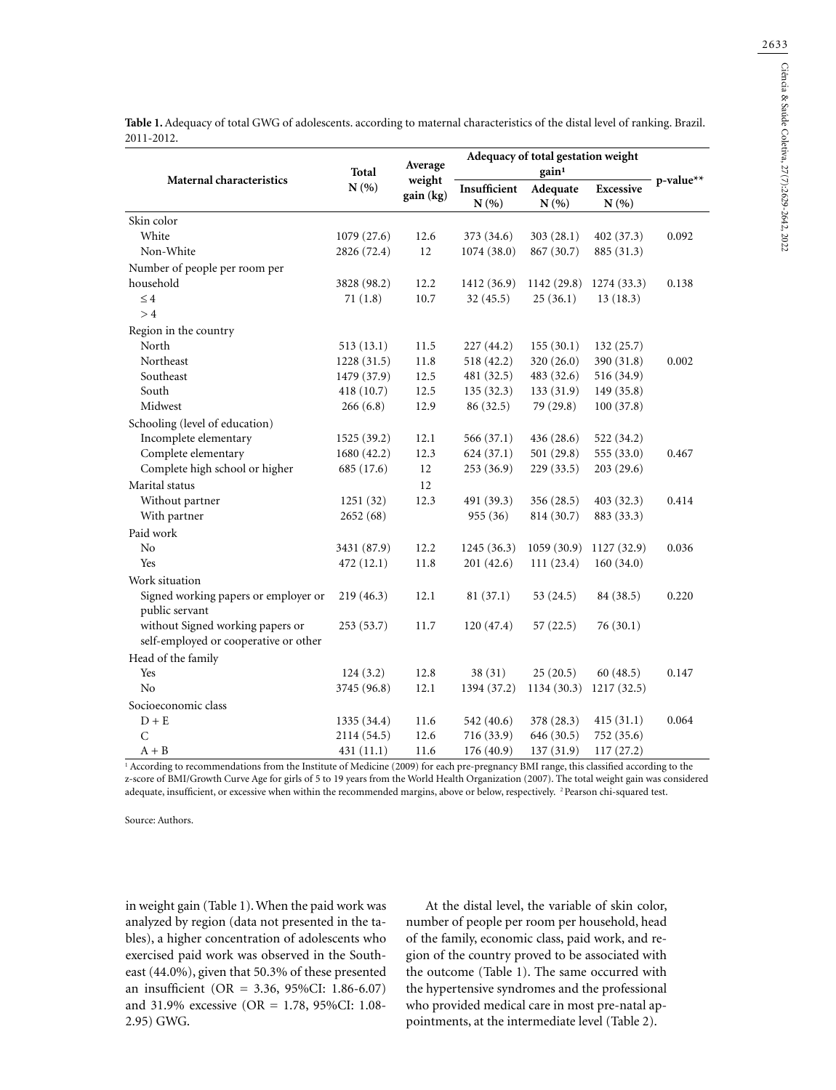**Table 1.** Adequacy of total GWG of adolescents. according to maternal characteristics of the distal level of ranking. Brazil. 2011-2012.

|                                       | Total<br>N(% | Average<br>weight<br>gain (kg) | Adequacy of total gestation weight |            |                  |           |
|---------------------------------------|--------------|--------------------------------|------------------------------------|------------|------------------|-----------|
| <b>Maternal characteristics</b>       |              |                                |                                    |            |                  |           |
|                                       |              |                                | Insufficient                       | Adequate   | <b>Excessive</b> | p-value** |
|                                       |              |                                | N(% )                              | N(% )      | N(%              |           |
| Skin color                            |              |                                |                                    |            |                  |           |
| White                                 | 1079(27.6)   | 12.6                           | 373 (34.6)                         | 303(28.1)  | 402 (37.3)       | 0.092     |
| Non-White                             | 2826 (72.4)  | 12                             | 1074(38.0)                         | 867 (30.7) | 885 (31.3)       |           |
| Number of people per room per         |              |                                |                                    |            |                  |           |
| household                             | 3828 (98.2)  | 12.2                           | 1412 (36.9)                        | 1142(29.8) | 1274 (33.3)      | 0.138     |
| $\leq 4$                              | 71(1.8)      | 10.7                           | 32(45.5)                           | 25(36.1)   | 13(18.3)         |           |
| >4                                    |              |                                |                                    |            |                  |           |
| Region in the country                 |              |                                |                                    |            |                  |           |
| North                                 | 513(13.1)    | 11.5                           | 227 (44.2)                         | 155(30.1)  | 132(25.7)        |           |
| Northeast                             | 1228(31.5)   | 11.8                           | 518 (42.2)                         | 320 (26.0) | 390 (31.8)       | 0.002     |
| Southeast                             | 1479 (37.9)  | 12.5                           | 481 (32.5)                         | 483 (32.6) | 516 (34.9)       |           |
| South                                 | 418 (10.7)   | 12.5                           | 135(32.3)                          | 133(31.9)  | 149 (35.8)       |           |
| Midwest                               | 266(6.8)     | 12.9                           | 86 (32.5)                          | 79 (29.8)  | 100(37.8)        |           |
| Schooling (level of education)        |              |                                |                                    |            |                  |           |
| Incomplete elementary                 | 1525 (39.2)  | 12.1                           | 566 (37.1)                         | 436 (28.6) | 522 (34.2)       |           |
| Complete elementary                   | 1680(42.2)   | 12.3                           | 624(37.1)                          | 501 (29.8) | 555 (33.0)       | 0.467     |
| Complete high school or higher        | 685 (17.6)   | 12                             | 253(36.9)                          | 229(33.5)  | 203(29.6)        |           |
| Marital status                        |              | 12                             |                                    |            |                  |           |
| Without partner                       | 1251 (32)    | 12.3                           | 491 (39.3)                         | 356 (28.5) | 403 (32.3)       | 0.414     |
| With partner                          | 2652 (68)    |                                | 955 (36)                           | 814 (30.7) | 883 (33.3)       |           |
| Paid work                             |              |                                |                                    |            |                  |           |
| N <sub>o</sub>                        | 3431 (87.9)  | 12.2                           | 1245(36.3)                         | 1059(30.9) | 1127 (32.9)      | 0.036     |
| Yes                                   | 472 (12.1)   | 11.8                           | 201 (42.6)                         | 111(23.4)  | 160(34.0)        |           |
| Work situation                        |              |                                |                                    |            |                  |           |
| Signed working papers or employer or  | 219(46.3)    | 12.1                           | 81(37.1)                           | 53 (24.5)  | 84 (38.5)        | 0.220     |
| public servant                        |              |                                |                                    |            |                  |           |
| without Signed working papers or      | 253 (53.7)   | 11.7                           | 120(47.4)                          | 57(22.5)   | 76(30.1)         |           |
| self-employed or cooperative or other |              |                                |                                    |            |                  |           |
| Head of the family                    |              |                                |                                    |            |                  |           |
| Yes                                   | 124(3.2)     | 12.8                           | 38(31)                             | 25(20.5)   | 60(48.5)         | 0.147     |
| No                                    | 3745 (96.8)  | 12.1                           | 1394 (37.2)                        | 1134(30.3) | 1217(32.5)       |           |
| Socioeconomic class                   |              |                                |                                    |            |                  |           |
| $D + E$                               | 1335 (34.4)  | 11.6                           | 542 (40.6)                         | 378 (28.3) | 415(31.1)        | 0.064     |
| $\mathsf{C}$                          | 2114 (54.5)  | 12.6                           | 716 (33.9)                         | 646 (30.5) | 752 (35.6)       |           |
| $A + B$                               | 431 (11.1)   | 11.6                           | 176(40.9)                          | 137(31.9)  | 117(27.2)        |           |

1 According to recommendations from the Institute of Medicine (2009) for each pre-pregnancy BMI range, this classified according to the z-score of BMI/Growth Curve Age for girls of 5 to 19 years from the World Health Organization (2007). The total weight gain was considered adequate, insufficient, or excessive when within the recommended margins, above or below, respectively. 2 Pearson chi-squared test.

Source: Authors.

in weight gain (Table 1). When the paid work was analyzed by region (data not presented in the tables), a higher concentration of adolescents who exercised paid work was observed in the Southeast (44.0%), given that 50.3% of these presented an insufficient (OR = 3.36, 95%CI: 1.86-6.07) and 31.9% excessive (OR = 1.78, 95%CI: 1.08- 2.95) GWG.

At the distal level, the variable of skin color, number of people per room per household, head of the family, economic class, paid work, and region of the country proved to be associated with the outcome (Table 1). The same occurred with the hypertensive syndromes and the professional who provided medical care in most pre-natal appointments, at the intermediate level (Table 2).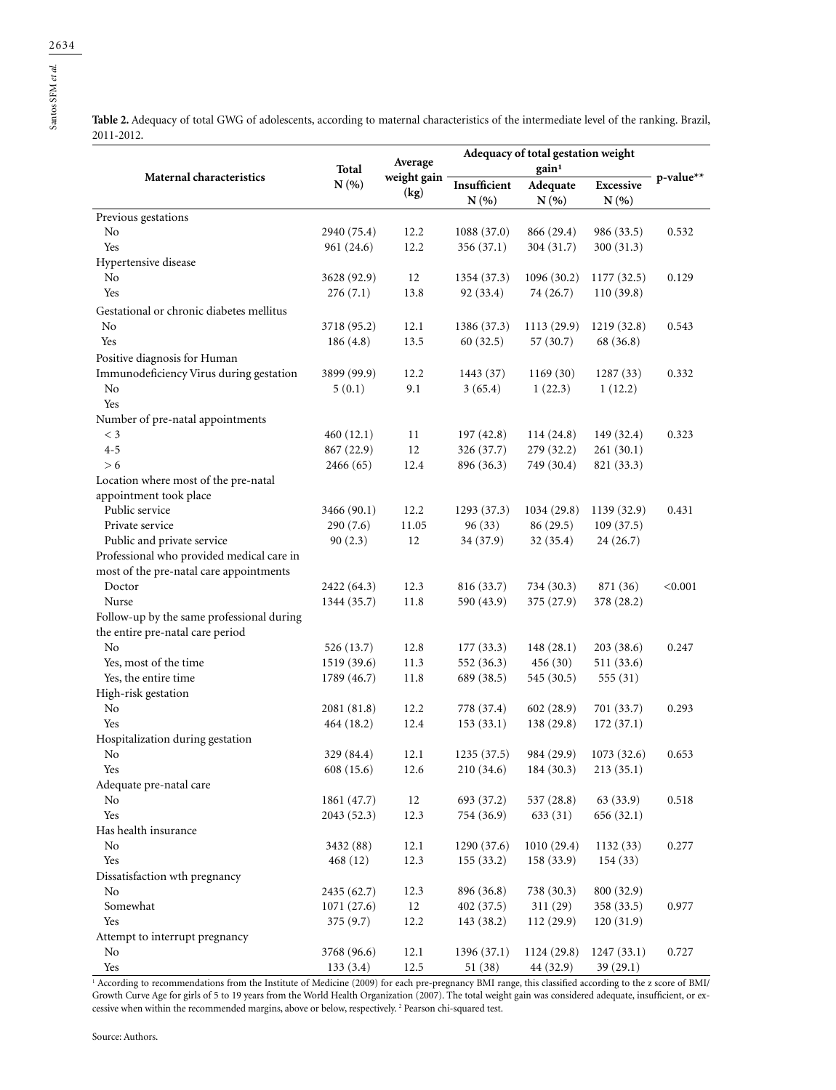Santos SFM *et al.*

Table 2. Adequacy of total GWG of adolescents, according to maternal characteristics of the intermediate level of the ranking. Brazil, 2011-2012.  $\overline{a}$ 

| Maternal characteristics                  | Total<br>N(% | Average<br>weight gain<br>(kg) | Adequacy of total gestation weight |                               |                  |              |
|-------------------------------------------|--------------|--------------------------------|------------------------------------|-------------------------------|------------------|--------------|
|                                           |              |                                | Insufficient                       | gain <sup>1</sup><br>Adequate | <b>Excessive</b> | $p$ -value** |
|                                           |              |                                | N(%)                               | N(%                           | N(%              |              |
| Previous gestations                       |              |                                |                                    |                               |                  |              |
| No                                        | 2940 (75.4)  | 12.2                           | 1088(37.0)                         | 866 (29.4)                    | 986 (33.5)       | 0.532        |
| Yes                                       | 961 (24.6)   | 12.2                           | 356 (37.1)                         | 304 (31.7)                    | 300 (31.3)       |              |
| Hypertensive disease                      |              |                                |                                    |                               |                  |              |
| No                                        | 3628 (92.9)  | 12                             | 1354 (37.3)                        | 1096(30.2)                    | 1177 (32.5)      | 0.129        |
| Yes                                       | 276(7.1)     | 13.8                           | 92 (33.4)                          | 74 (26.7)                     | 110(39.8)        |              |
| Gestational or chronic diabetes mellitus  |              |                                |                                    |                               |                  |              |
| No                                        | 3718 (95.2)  | 12.1                           | 1386 (37.3)                        | 1113(29.9)                    | 1219 (32.8)      | 0.543        |
| Yes                                       | 186(4.8)     | 13.5                           | 60(32.5)                           | 57 (30.7)                     | 68 (36.8)        |              |
| Positive diagnosis for Human              |              |                                |                                    |                               |                  |              |
| Immunodeficiency Virus during gestation   | 3899 (99.9)  | 12.2                           | 1443 (37)                          | 1169(30)                      | 1287(33)         | 0.332        |
| No                                        | 5(0.1)       | 9.1                            | 3(65.4)                            | 1(22.3)                       | 1(12.2)          |              |
| Yes                                       |              |                                |                                    |                               |                  |              |
| Number of pre-natal appointments          |              |                                |                                    |                               |                  |              |
| $\leq$ 3                                  | 460(12.1)    | 11                             | 197(42.8)                          | 114(24.8)                     | 149 (32.4)       | 0.323        |
| $4 - 5$                                   | 867 (22.9)   | 12                             | 326 (37.7)                         | 279 (32.2)                    | 261(30.1)        |              |
| > 6                                       | 2466 (65)    | 12.4                           | 896 (36.3)                         | 749 (30.4)                    | 821 (33.3)       |              |
| Location where most of the pre-natal      |              |                                |                                    |                               |                  |              |
| appointment took place                    |              |                                |                                    |                               |                  |              |
| Public service                            | 3466 (90.1)  | 12.2                           | 1293 (37.3)                        | 1034(29.8)                    | 1139 (32.9)      | 0.431        |
| Private service                           | 290(7.6)     | 11.05                          | 96(33)                             | 86(29.5)                      | 109(37.5)        |              |
| Public and private service                | 90(2.3)      | 12                             | 34 (37.9)                          | 32(35.4)                      | 24(26.7)         |              |
| Professional who provided medical care in |              |                                |                                    |                               |                  |              |
| most of the pre-natal care appointments   |              |                                |                                    |                               |                  |              |
| Doctor                                    | 2422 (64.3)  | 12.3                           | 816 (33.7)                         | 734 (30.3)                    | 871 (36)         | < 0.001      |
| Nurse                                     | 1344 (35.7)  | 11.8                           | 590 (43.9)                         | 375 (27.9)                    | 378 (28.2)       |              |
| Follow-up by the same professional during |              |                                |                                    |                               |                  |              |
| the entire pre-natal care period          |              |                                |                                    |                               |                  |              |
| No                                        | 526 (13.7)   | 12.8                           | 177(33.3)                          | 148(28.1)                     | 203(38.6)        | 0.247        |
| Yes, most of the time                     | 1519 (39.6)  | 11.3                           | 552 (36.3)                         | 456(30)                       | 511 (33.6)       |              |
| Yes, the entire time                      | 1789 (46.7)  | 11.8                           | 689 (38.5)                         | 545 (30.5)                    | 555(31)          |              |
| High-risk gestation                       |              |                                |                                    |                               |                  |              |
| No                                        | 2081 (81.8)  | 12.2                           | 778 (37.4)                         | 602 (28.9)                    | 701 (33.7)       | 0.293        |
| Yes                                       | 464 (18.2)   | 12.4                           | 153(33.1)                          | 138(29.8)                     | 172(37.1)        |              |
| Hospitalization during gestation          |              |                                |                                    |                               |                  |              |
| No                                        | 329 (84.4)   | 12.1                           | 1235(37.5)                         | 984 (29.9)                    | 1073(32.6)       | 0.653        |
| Yes                                       | 608 (15.6)   | 12.6                           | 210 (34.6)                         | 184 (30.3)                    | 213(35.1)        |              |
| Adequate pre-natal care                   |              |                                |                                    |                               |                  |              |
| No                                        | 1861 (47.7)  | 12                             | 693 (37.2)                         | 537(28.8)                     | 63(33.9)         | 0.518        |
| Yes                                       | 2043 (52.3)  | 12.3                           | 754 (36.9)                         | 633(31)                       | 656(32.1)        |              |
| Has health insurance                      |              |                                |                                    |                               |                  |              |
| No                                        | 3432 (88)    | 12.1                           | 1290 (37.6)                        | 1010(29.4)                    | 1132(33)         | 0.277        |
| Yes                                       | 468(12)      | 12.3                           | 155 (33.2)                         | 158 (33.9)                    | 154(33)          |              |
| Dissatisfaction wth pregnancy             |              |                                |                                    |                               |                  |              |
| No                                        | 2435 (62.7)  | 12.3                           | 896 (36.8)                         | 738 (30.3)                    | 800 (32.9)       |              |
| Somewhat                                  | 1071(27.6)   | $12\,$                         | 402 (37.5)                         | 311(29)                       | 358 (33.5)       | 0.977        |
| Yes                                       | 375(9.7)     | 12.2                           | 143 (38.2)                         | 112(29.9)                     | 120(31.9)        |              |
| Attempt to interrupt pregnancy            |              |                                |                                    |                               |                  |              |
| No                                        | 3768 (96.6)  | 12.1                           | 1396 (37.1)                        | 1124 (29.8)                   | 1247(33.1)       | 0.727        |
| Yes                                       | 133(3.4)     | 12.5                           | 51 (38)                            | 44 (32.9)                     | 39(29.1)         |              |

 Yes 133 (3.4) 12.5 51 (38) 44 (32.9) 39 (29.1) 1 According to recommendations from the Institute of Medicine (2009) for each pre-pregnancy BMI range, this classified according to the z score of BMI/ Growth Curve Age for girls of 5 to 19 years from the World Health Organization (2007). The total weight gain was considered adequate, insufficient, or excessive when within the recommended margins, above or below, respectively.<sup>2</sup> Pearson chi-squared test.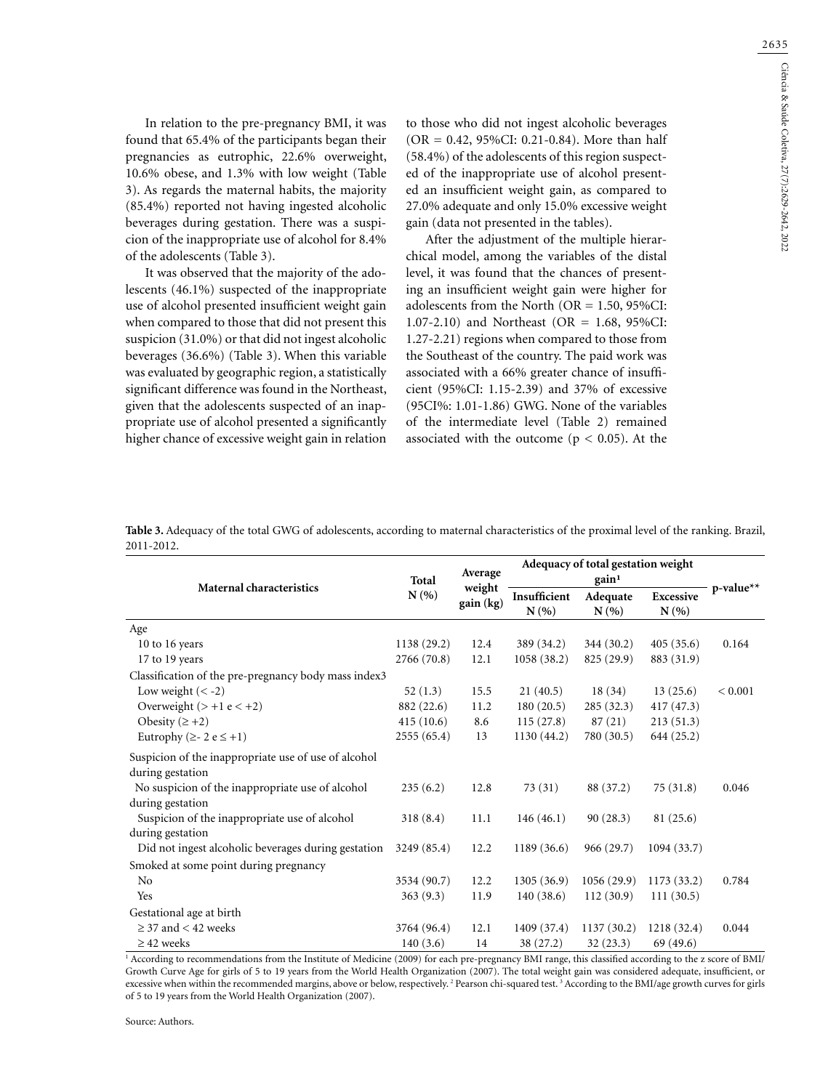2635

In relation to the pre-pregnancy BMI, it was found that 65.4% of the participants began their pregnancies as eutrophic, 22.6% overweight, 10.6% obese, and 1.3% with low weight (Table 3). As regards the maternal habits, the majority (85.4%) reported not having ingested alcoholic beverages during gestation. There was a suspicion of the inappropriate use of alcohol for 8.4% of the adolescents (Table 3).

It was observed that the majority of the adolescents (46.1%) suspected of the inappropriate use of alcohol presented insufficient weight gain when compared to those that did not present this suspicion (31.0%) or that did not ingest alcoholic beverages (36.6%) (Table 3). When this variable was evaluated by geographic region, a statistically significant difference was found in the Northeast, given that the adolescents suspected of an inappropriate use of alcohol presented a significantly higher chance of excessive weight gain in relation to those who did not ingest alcoholic beverages (OR = 0.42, 95%CI: 0.21-0.84). More than half (58.4%) of the adolescents of this region suspected of the inappropriate use of alcohol presented an insufficient weight gain, as compared to 27.0% adequate and only 15.0% excessive weight gain (data not presented in the tables).

After the adjustment of the multiple hierarchical model, among the variables of the distal level, it was found that the chances of presenting an insufficient weight gain were higher for adolescents from the North (OR = 1.50, 95%CI: 1.07-2.10) and Northeast (OR = 1.68, 95%CI: 1.27-2.21) regions when compared to those from the Southeast of the country. The paid work was associated with a 66% greater chance of insufficient (95%CI: 1.15-2.39) and 37% of excessive (95CI%: 1.01-1.86) GWG. None of the variables of the intermediate level (Table 2) remained associated with the outcome ( $p < 0.05$ ). At the

**Table 3.** Adequacy of the total GWG of adolescents, according to maternal characteristics of the proximal level of the ranking. Brazil, 2011-2012.

|                                                                          | Total       | Average             | Adequacy of total gestation weight |                 |                         |             |
|--------------------------------------------------------------------------|-------------|---------------------|------------------------------------|-----------------|-------------------------|-------------|
| <b>Maternal characteristics</b>                                          | N(%         | weight<br>gain (kg) | Insufficient<br>N(%                | Adequate<br>N(% | <b>Excessive</b><br>N(% | p-value**   |
| Age                                                                      |             |                     |                                    |                 |                         |             |
| 10 to 16 years                                                           | 1138 (29.2) | 12.4                | 389 (34.2)                         | 344 (30.2)      | 405(35.6)               | 0.164       |
| 17 to 19 years                                                           | 2766 (70.8) | 12.1                | 1058(38.2)                         | 825 (29.9)      | 883 (31.9)              |             |
| Classification of the pre-pregnancy body mass index3                     |             |                     |                                    |                 |                         |             |
| Low weight $(< -2)$                                                      | 52(1.3)     | 15.5                | 21(40.5)                           | 18(34)          | 13(25.6)                | ${}< 0.001$ |
| Overweight $(> +1 e < +2)$                                               | 882 (22.6)  | 11.2                | 180(20.5)                          | 285(32.3)       | 417 (47.3)              |             |
| Obesity $(2+2)$                                                          | 415(10.6)   | 8.6                 | 115(27.8)                          | 87(21)          | 213(51.3)               |             |
| Eutrophy ( $\ge$ - 2 e $\le$ +1)                                         | 2555(65.4)  | 13                  | 1130(44.2)                         | 780 (30.5)      | 644 (25.2)              |             |
| Suspicion of the inappropriate use of use of alcohol<br>during gestation |             |                     |                                    |                 |                         |             |
| No suspicion of the inappropriate use of alcohol                         | 235(6.2)    | 12.8                | 73 (31)                            | 88 (37.2)       | 75(31.8)                | 0.046       |
| during gestation                                                         |             |                     |                                    |                 |                         |             |
| Suspicion of the inappropriate use of alcohol                            | 318(8.4)    | 11.1                | 146(46.1)                          | 90(28.3)        | 81(25.6)                |             |
| during gestation                                                         |             |                     |                                    |                 |                         |             |
| Did not ingest alcoholic beverages during gestation                      | 3249 (85.4) | 12.2                | 1189(36.6)                         | 966(29.7)       | 1094(33.7)              |             |
| Smoked at some point during pregnancy                                    |             |                     |                                    |                 |                         |             |
| N <sub>o</sub>                                                           | 3534 (90.7) | 12.2                | 1305(36.9)                         | 1056(29.9)      | 1173 (33.2)             | 0.784       |
| Yes                                                                      | 363(9.3)    | 11.9                | 140(38.6)                          | 112(30.9)       | 111(30.5)               |             |
| Gestational age at birth                                                 |             |                     |                                    |                 |                         |             |
| $\geq$ 37 and $<$ 42 weeks                                               | 3764 (96.4) | 12.1                | 1409 (37.4)                        | 1137(30.2)      | 1218 (32.4)             | 0.044       |
| $\geq$ 42 weeks                                                          | 140(3.6)    | 14                  | 38 (27.2)                          | 32(23.3)        | 69 (49.6)               |             |

1 According to recommendations from the Institute of Medicine (2009) for each pre-pregnancy BMI range, this classified according to the z score of BMI/ Growth Curve Age for girls of 5 to 19 years from the World Health Organization (2007). The total weight gain was considered adequate, insufficient, or excessive when within the recommended margins, above or below, respectively. <sup>2</sup> Pearson chi-squared test. <sup>3</sup> According to the BMI/age growth curves for girls of 5 to 19 years from the World Health Organization (2007).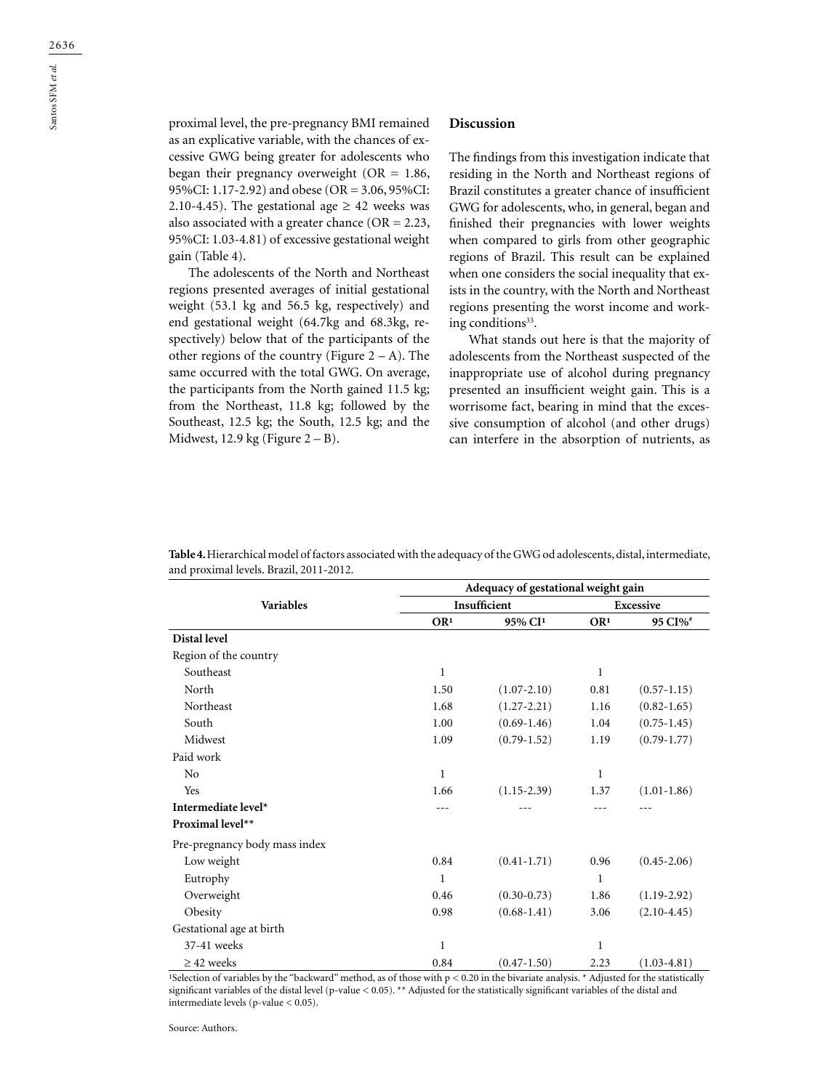proximal level, the pre-pregnancy BMI remained as an explicative variable, with the chances of excessive GWG being greater for adolescents who began their pregnancy overweight ( $OR = 1.86$ , 95%CI: 1.17-2.92) and obese (OR = 3.06, 95%CI: 2.10-4.45). The gestational age  $\geq$  42 weeks was also associated with a greater chance ( $OR = 2.23$ , 95%CI: 1.03-4.81) of excessive gestational weight gain (Table 4).

The adolescents of the North and Northeast regions presented averages of initial gestational weight (53.1 kg and 56.5 kg, respectively) and end gestational weight (64.7kg and 68.3kg, respectively) below that of the participants of the other regions of the country (Figure  $2 - A$ ). The same occurred with the total GWG. On average, the participants from the North gained 11.5 kg; from the Northeast, 11.8 kg; followed by the Southeast, 12.5 kg; the South, 12.5 kg; and the Midwest, 12.9 kg (Figure  $2 - B$ ).

## **Discussion**

The findings from this investigation indicate that residing in the North and Northeast regions of Brazil constitutes a greater chance of insufficient GWG for adolescents, who, in general, began and finished their pregnancies with lower weights when compared to girls from other geographic regions of Brazil. This result can be explained when one considers the social inequality that exists in the country, with the North and Northeast regions presenting the worst income and working conditions<sup>33</sup>.

What stands out here is that the majority of adolescents from the Northeast suspected of the inappropriate use of alcohol during pregnancy presented an insufficient weight gain. This is a worrisome fact, bearing in mind that the excessive consumption of alcohol (and other drugs) can interfere in the absorption of nutrients, as

|                               | Adequacy of gestational weight gain |                     |                 |                     |  |  |
|-------------------------------|-------------------------------------|---------------------|-----------------|---------------------|--|--|
| <b>Variables</b>              |                                     | Insufficient        |                 | <b>Excessive</b>    |  |  |
|                               | OR <sup>1</sup>                     | 95% CI <sup>1</sup> | OR <sup>1</sup> | 95 CI% <sup>#</sup> |  |  |
| Distal level                  |                                     |                     |                 |                     |  |  |
| Region of the country         |                                     |                     |                 |                     |  |  |
| Southeast                     | 1                                   |                     | 1               |                     |  |  |
| North                         | 1.50                                | $(1.07 - 2.10)$     | 0.81            | $(0.57 - 1.15)$     |  |  |
| Northeast                     | 1.68                                | $(1.27 - 2.21)$     | 1.16            | $(0.82 - 1.65)$     |  |  |
| South                         | 1.00                                | $(0.69-1.46)$       | 1.04            | $(0.75 - 1.45)$     |  |  |
| Midwest                       | 1.09                                | $(0.79 - 1.52)$     | 1.19            | $(0.79 - 1.77)$     |  |  |
| Paid work                     |                                     |                     |                 |                     |  |  |
| N <sub>o</sub>                | 1                                   |                     | $\mathbf{1}$    |                     |  |  |
| Yes                           | 1.66                                | $(1.15 - 2.39)$     | 1.37            | $(1.01 - 1.86)$     |  |  |
| Intermediate level*           |                                     |                     |                 |                     |  |  |
| Proximal level**              |                                     |                     |                 |                     |  |  |
| Pre-pregnancy body mass index |                                     |                     |                 |                     |  |  |
| Low weight                    | 0.84                                | $(0.41 - 1.71)$     | 0.96            | $(0.45 - 2.06)$     |  |  |
| Eutrophy                      | 1                                   |                     | 1               |                     |  |  |
| Overweight                    | 0.46                                | $(0.30 - 0.73)$     | 1.86            | $(1.19-2.92)$       |  |  |
| Obesity                       | 0.98                                | $(0.68 - 1.41)$     | 3.06            | $(2.10-4.45)$       |  |  |
| Gestational age at birth      |                                     |                     |                 |                     |  |  |
| 37-41 weeks                   | 1                                   |                     | $\mathbf{1}$    |                     |  |  |
| $\geq$ 42 weeks               | 0.84                                | $(0.47 - 1.50)$     | 2.23            | $(1.03 - 4.81)$     |  |  |

**Table 4.** Hierarchical model of factors associated with the adequacy of the GWG od adolescents, distal, intermediate, and proximal levels. Brazil, 2011-2012.

<sup>1</sup>Selection of variables by the "backward" method, as of those with  $p < 0.20$  in the bivariate analysis. \* Adjusted for the statistically significant variables of the distal level (p-value < 0.05). \*\* Adjusted for the statistically significant variables of the distal and intermediate levels (p-value < 0.05).

Source: Authors.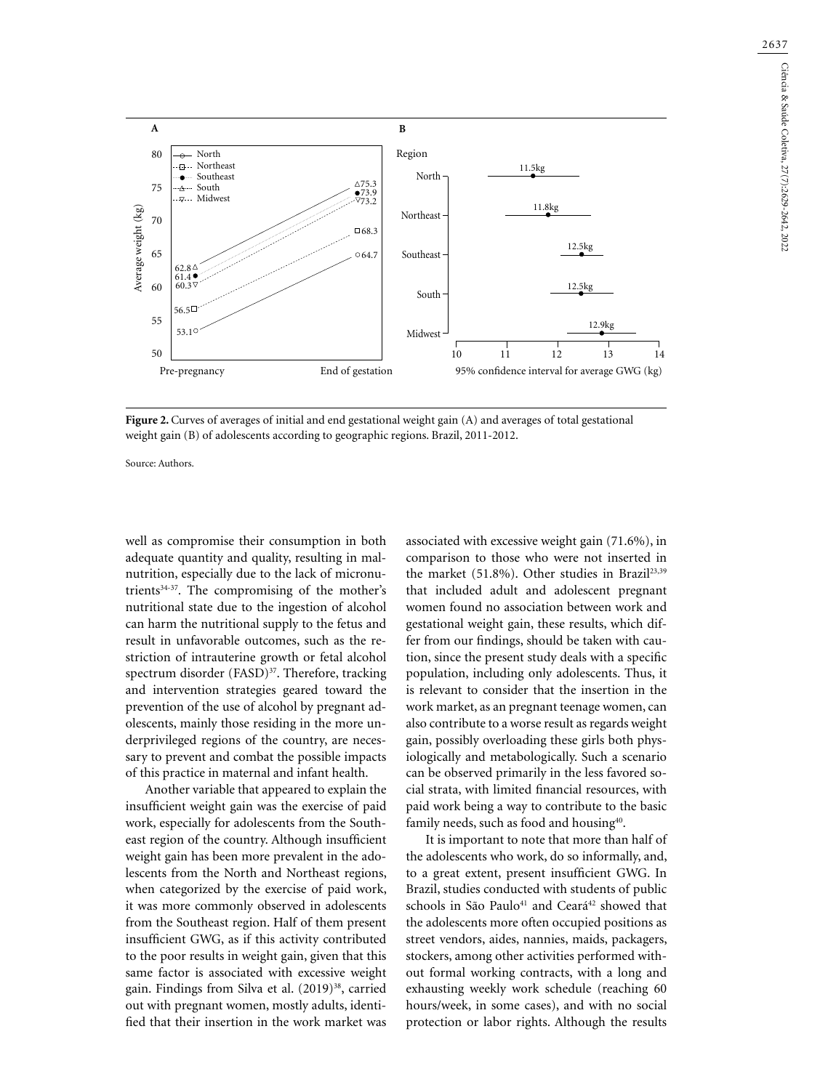

**Figure 2.** Curves of averages of initial and end gestational weight gain (A) and averages of total gestational weight gain (B) of adolescents according to geographic regions. Brazil, 2011-2012.

Source: Authors.

well as compromise their consumption in both adequate quantity and quality, resulting in malnutrition, especially due to the lack of micronutrients<sup>34-37</sup>. The compromising of the mother's nutritional state due to the ingestion of alcohol can harm the nutritional supply to the fetus and result in unfavorable outcomes, such as the restriction of intrauterine growth or fetal alcohol spectrum disorder (FASD)<sup>37</sup>. Therefore, tracking and intervention strategies geared toward the prevention of the use of alcohol by pregnant adolescents, mainly those residing in the more underprivileged regions of the country, are necessary to prevent and combat the possible impacts of this practice in maternal and infant health.

Another variable that appeared to explain the insufficient weight gain was the exercise of paid work, especially for adolescents from the Southeast region of the country. Although insufficient weight gain has been more prevalent in the adolescents from the North and Northeast regions, when categorized by the exercise of paid work, it was more commonly observed in adolescents from the Southeast region. Half of them present insufficient GWG, as if this activity contributed to the poor results in weight gain, given that this same factor is associated with excessive weight gain. Findings from Silva et al. (2019)<sup>38</sup>, carried out with pregnant women, mostly adults, identified that their insertion in the work market was

associated with excessive weight gain (71.6%), in comparison to those who were not inserted in the market (51.8%). Other studies in Brazil<sup>23,39</sup> that included adult and adolescent pregnant women found no association between work and gestational weight gain, these results, which differ from our findings, should be taken with caution, since the present study deals with a specific population, including only adolescents. Thus, it is relevant to consider that the insertion in the work market, as an pregnant teenage women, can also contribute to a worse result as regards weight gain, possibly overloading these girls both physiologically and metabologically. Such a scenario can be observed primarily in the less favored social strata, with limited financial resources, with paid work being a way to contribute to the basic family needs, such as food and housing<sup>40</sup>.

It is important to note that more than half of the adolescents who work, do so informally, and, to a great extent, present insufficient GWG. In Brazil, studies conducted with students of public schools in São Paulo<sup>41</sup> and Ceará<sup>42</sup> showed that the adolescents more often occupied positions as street vendors, aides, nannies, maids, packagers, stockers, among other activities performed without formal working contracts, with a long and exhausting weekly work schedule (reaching 60 hours/week, in some cases), and with no social protection or labor rights. Although the results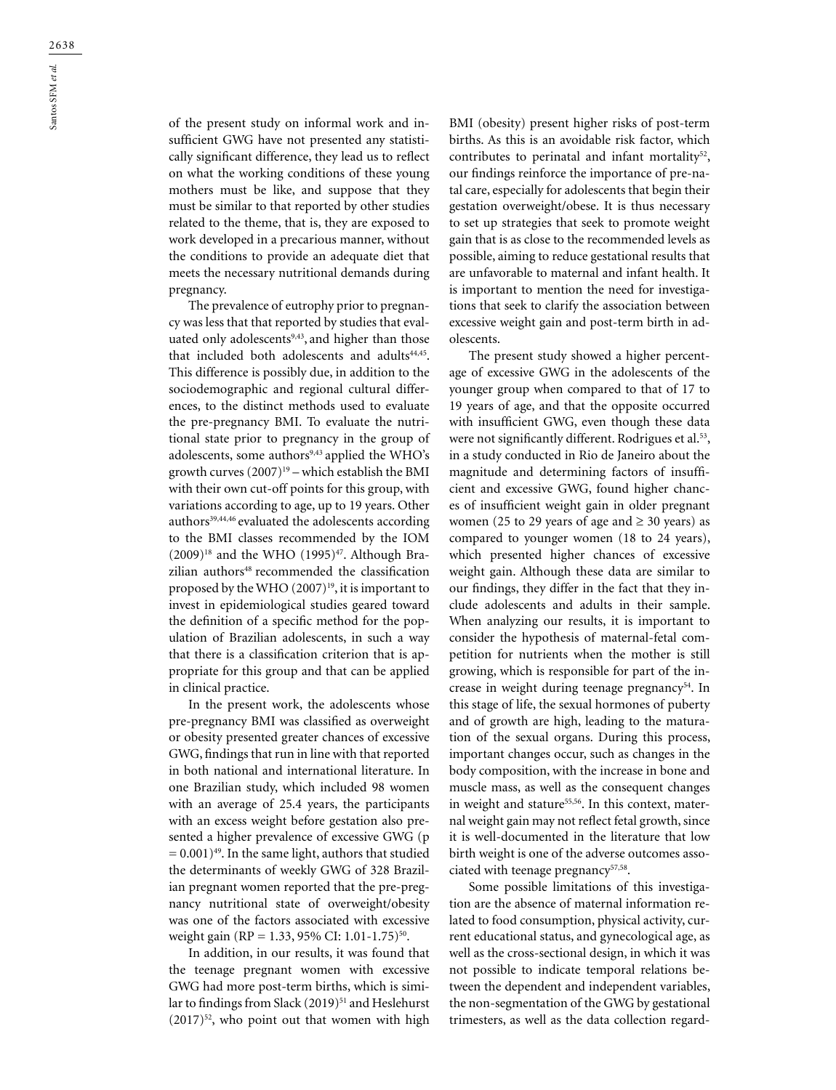of the present study on informal work and insufficient GWG have not presented any statistically significant difference, they lead us to reflect on what the working conditions of these young mothers must be like, and suppose that they must be similar to that reported by other studies related to the theme, that is, they are exposed to work developed in a precarious manner, without the conditions to provide an adequate diet that meets the necessary nutritional demands during pregnancy.

The prevalence of eutrophy prior to pregnancy was less that that reported by studies that evaluated only adolescents<sup>9,43</sup>, and higher than those that included both adolescents and adults<sup>44,45</sup>. This difference is possibly due, in addition to the sociodemographic and regional cultural differences, to the distinct methods used to evaluate the pre-pregnancy BMI. To evaluate the nutritional state prior to pregnancy in the group of adolescents, some authors<sup>9,43</sup> applied the WHO's growth curves  $(2007)^{19}$  – which establish the BMI with their own cut-off points for this group, with variations according to age, up to 19 years. Other authors<sup>39,44,46</sup> evaluated the adolescents according to the BMI classes recommended by the IOM  $(2009)^{18}$  and the WHO  $(1995)^{47}$ . Although Brazilian authors<sup>48</sup> recommended the classification proposed by the WHO  $(2007)^{19}$ , it is important to invest in epidemiological studies geared toward the definition of a specific method for the population of Brazilian adolescents, in such a way that there is a classification criterion that is appropriate for this group and that can be applied in clinical practice.

In the present work, the adolescents whose pre-pregnancy BMI was classified as overweight or obesity presented greater chances of excessive GWG, findings that run in line with that reported in both national and international literature. In one Brazilian study, which included 98 women with an average of 25.4 years, the participants with an excess weight before gestation also presented a higher prevalence of excessive GWG (p  $= 0.001$ <sup>49</sup>. In the same light, authors that studied the determinants of weekly GWG of 328 Brazilian pregnant women reported that the pre-pregnancy nutritional state of overweight/obesity was one of the factors associated with excessive weight gain (RP = 1.33, 95% CI: 1.01-1.75)<sup>50</sup>.

In addition, in our results, it was found that the teenage pregnant women with excessive GWG had more post-term births, which is similar to findings from Slack (2019)<sup>51</sup> and Heslehurst  $(2017)^{52}$ , who point out that women with high

BMI (obesity) present higher risks of post-term births. As this is an avoidable risk factor, which contributes to perinatal and infant mortality<sup>52</sup>, our findings reinforce the importance of pre-natal care, especially for adolescents that begin their gestation overweight/obese. It is thus necessary to set up strategies that seek to promote weight gain that is as close to the recommended levels as possible, aiming to reduce gestational results that are unfavorable to maternal and infant health. It is important to mention the need for investigations that seek to clarify the association between excessive weight gain and post-term birth in adolescents.

The present study showed a higher percentage of excessive GWG in the adolescents of the younger group when compared to that of 17 to 19 years of age, and that the opposite occurred with insufficient GWG, even though these data were not significantly different. Rodrigues et al.<sup>53</sup>, in a study conducted in Rio de Janeiro about the magnitude and determining factors of insufficient and excessive GWG, found higher chances of insufficient weight gain in older pregnant women (25 to 29 years of age and  $\geq$  30 years) as compared to younger women (18 to 24 years), which presented higher chances of excessive weight gain. Although these data are similar to our findings, they differ in the fact that they include adolescents and adults in their sample. When analyzing our results, it is important to consider the hypothesis of maternal-fetal competition for nutrients when the mother is still growing, which is responsible for part of the increase in weight during teenage pregnancy<sup>54</sup>. In this stage of life, the sexual hormones of puberty and of growth are high, leading to the maturation of the sexual organs. During this process, important changes occur, such as changes in the body composition, with the increase in bone and muscle mass, as well as the consequent changes in weight and stature<sup>55,56</sup>. In this context, maternal weight gain may not reflect fetal growth, since it is well-documented in the literature that low birth weight is one of the adverse outcomes associated with teenage pregnancy<sup>57,58</sup>.

Some possible limitations of this investigation are the absence of maternal information related to food consumption, physical activity, current educational status, and gynecological age, as well as the cross-sectional design, in which it was not possible to indicate temporal relations between the dependent and independent variables, the non-segmentation of the GWG by gestational trimesters, as well as the data collection regard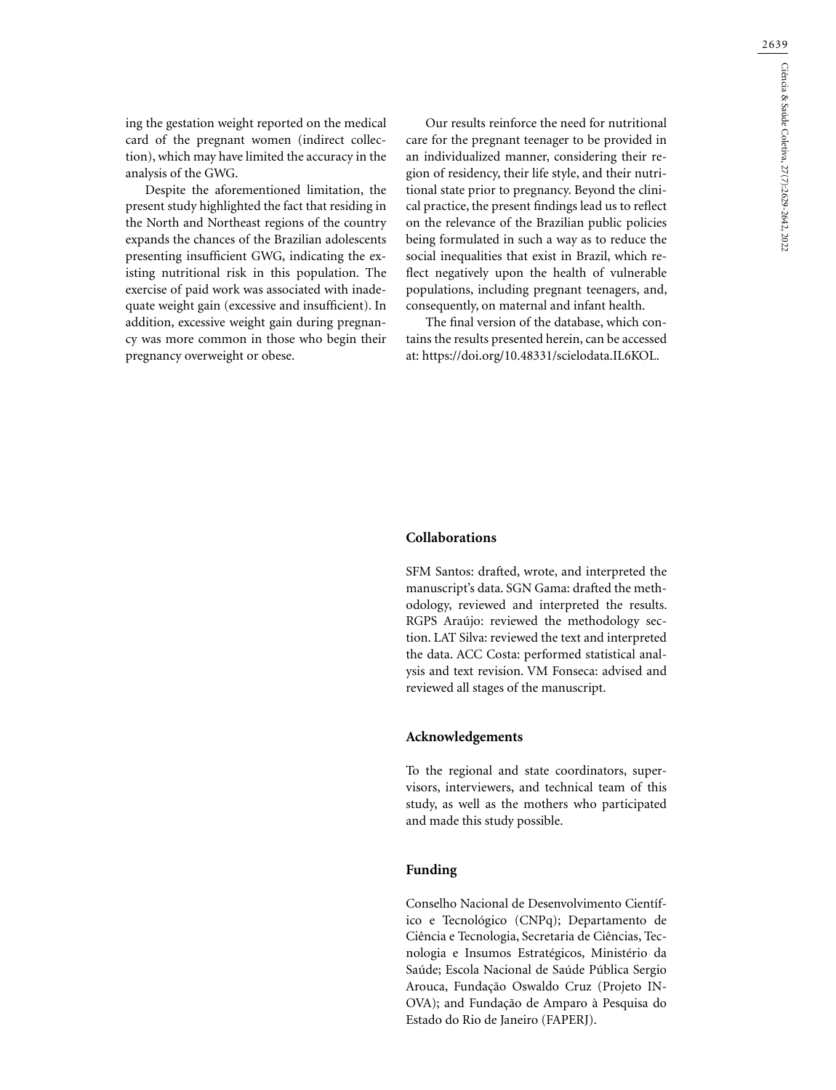ing the gestation weight reported on the medical card of the pregnant women (indirect collection), which may have limited the accuracy in the analysis of the GWG.

Despite the aforementioned limitation, the present study highlighted the fact that residing in the North and Northeast regions of the country expands the chances of the Brazilian adolescents presenting insufficient GWG, indicating the existing nutritional risk in this population. The exercise of paid work was associated with inadequate weight gain (excessive and insufficient). In addition, excessive weight gain during pregnancy was more common in those who begin their pregnancy overweight or obese.

Our results reinforce the need for nutritional care for the pregnant teenager to be provided in an individualized manner, considering their region of residency, their life style, and their nutritional state prior to pregnancy. Beyond the clinical practice, the present findings lead us to reflect on the relevance of the Brazilian public policies being formulated in such a way as to reduce the social inequalities that exist in Brazil, which reflect negatively upon the health of vulnerable populations, including pregnant teenagers, and, consequently, on maternal and infant health.

The final version of the database, which contains the results presented herein, can be accessed at:<https://doi.org/10.48331/scielodata.IL6KOL>.

#### **Collaborations**

SFM Santos: drafted, wrote, and interpreted the manuscript's data. SGN Gama: drafted the methodology, reviewed and interpreted the results. RGPS Araújo: reviewed the methodology section. LAT Silva: reviewed the text and interpreted the data. ACC Costa: performed statistical analysis and text revision. VM Fonseca: advised and reviewed all stages of the manuscript.

#### **Acknowledgements**

To the regional and state coordinators, supervisors, interviewers, and technical team of this study, as well as the mothers who participated and made this study possible.

## **Funding**

Conselho Nacional de Desenvolvimento Científico e Tecnológico (CNPq); Departamento de Ciência e Tecnologia, Secretaria de Ciências, Tecnologia e Insumos Estratégicos, Ministério da Saúde; Escola Nacional de Saúde Pública Sergio Arouca, Fundação Oswaldo Cruz (Projeto IN-OVA); and Fundação de Amparo à Pesquisa do Estado do Rio de Janeiro (FAPERJ).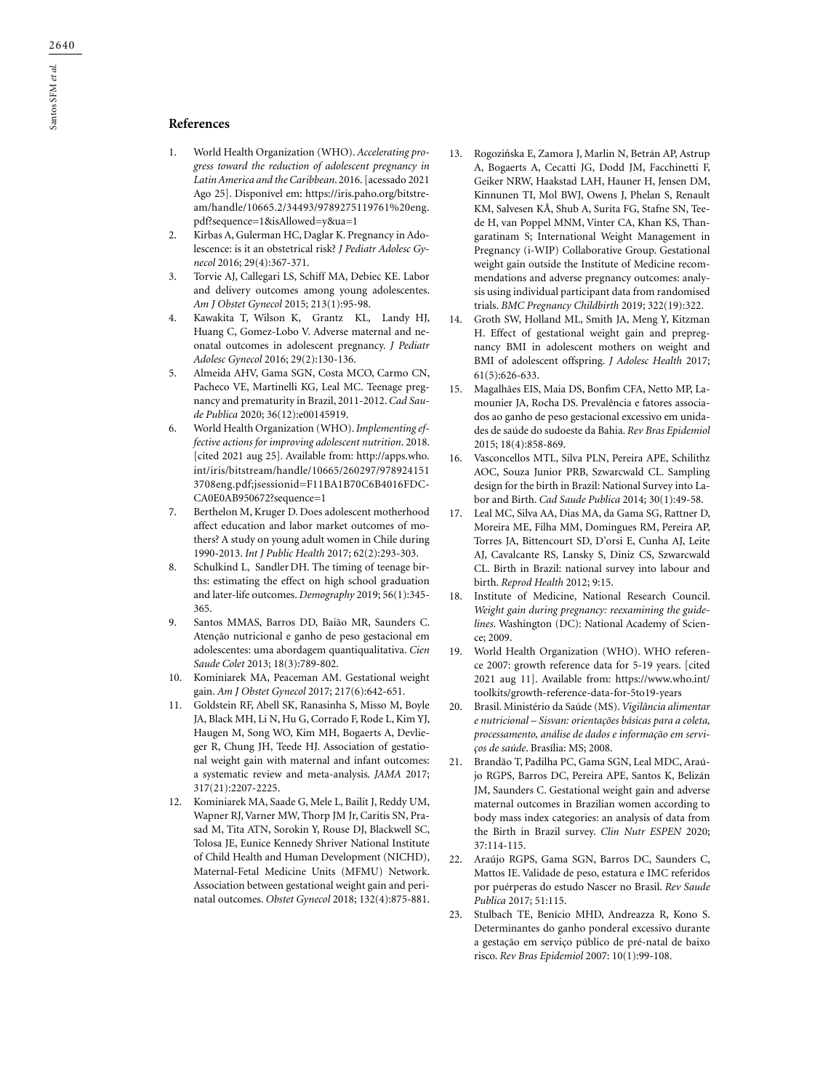## **References**

- 1. World Health Organization (WHO). *Accelerating progress toward the reduction of adolescent pregnancy in Latin America and the Caribbean*. 2016. [acessado 2021 Ago 25]. Disponível em: [https://iris.paho.org/bitstre](about:blank)[am/handle/10665.2/34493/9789275119761%20eng.](about:blank) [pdf?sequence=1&isAllowed=y&ua=1](about:blank)
- 2. Kirbas A, Gulerman HC, Daglar K. Pregnancy in Adolescence: is it an obstetrical risk? *J Pediatr Adolesc Gynecol* 2016; 29(4):367-371.
- 3. Torvie AJ, Callegari LS, Schiff MA, Debiec KE. Labor and delivery outcomes among young adolescentes. *Am J Obstet Gynecol* 2015; 213(1):95-98.
- 4. [Kawakita](about:blank) T, [Wilson](about:blank) K, [Grantz](about:blank) [KL,](about:blank#affiliation-3) [Landy](about:blank) HJ, [Huang](about:blank) C, Gomez-Lobo V. Adverse maternal and neonatal outcomes in adolescent pregnancy. *J Pediatr Adolesc Gynecol* 2016; 29(2):130-136.
- 5. Almeida AHV, Gama SGN, Costa MCO, Carmo CN, Pacheco VE, Martinelli KG, Leal MC. Teenage pregnancy and prematurity in Brazil, 2011-2012. *Cad Saude Publica* 2020; 36(12):e00145919.
- 6. World Health Organization (WHO). *Implementing effective actions for improving adolescent nutrition*. 2018. [cited 2021 aug 25]. Available from: [http://apps.who.](about:blank) [int/iris/bitstream/handle/10665/260297/978924151](about:blank) [3708eng.pdf;jsessionid=F11BA1B70C6B4016FDC-](about:blank)[CA0E0AB950672?sequence=1](about:blank)
- 7. Berthelon M, Kruger D. Does adolescent motherhood affect education and labor market outcomes of mothers? A study on young adult women in Chile during 1990-2013. *Int J Public Health* 2017; 62(2):293-303.
- 8. [Schulkind](about:blank) L, [Sandler](about:blank) DH. The timing of teenage births: estimating the effect on high school graduation and later-life outcomes. *Demography* 2019; 56(1):345- 365.
- 9. Santos MMAS, Barros DD, Baião MR, Saunders C. Atenção nutricional e ganho de peso gestacional em adolescentes: uma abordagem quantiqualitativa. *Cien Saude Colet* 2013; 18(3):789-802.
- 10. Kominiarek MA, Peaceman AM. Gestational weight gain. *Am J Obstet Gynecol* 2017; 217(6):642-651.
- 11. Goldstein RF, Abell SK, Ranasinha S, Misso M, Boyle JA, Black MH, Li N, Hu G, Corrado F, Rode L, Kim YJ, Haugen M, Song WO, Kim MH, Bogaerts A, Devlieger R, Chung JH, Teede HJ. Association of gestational weight gain with maternal and infant outcomes: a systematic review and meta-analysis. *JAMA* 2017; 317(21):2207-2225.
- 12. Kominiarek MA, Saade G, Mele L, Bailit J, Reddy UM, Wapner RJ, Varner MW, Thorp JM Jr, Caritis SN, Prasad M, Tita ATN, Sorokin Y, Rouse DJ, Blackwell SC, Tolosa JE, Eunice Kennedy Shriver National Institute of Child Health and Human Development (NICHD), Maternal-Fetal Medicine Units (MFMU) Network. Association between gestational weight gain and perinatal outcomes. *Obstet Gynecol* 2018; 132(4):875-881.
- 13. Rogozińska E, Zamora J, Marlin N, Betrán AP, Astrup A, Bogaerts A, Cecatti JG, Dodd JM, Facchinetti F, Geiker NRW, Haakstad LAH, Hauner H, Jensen DM, Kinnunen TI, Mol BWJ, Owens J, Phelan S, Renault KM, Salvesen KÅ, Shub A, Surita FG, Stafne SN, Teede H, van Poppel MNM, Vinter CA, Khan KS, Thangaratinam S; International Weight Management in Pregnancy (i-WIP) Collaborative Group. Gestational weight gain outside the Institute of Medicine recommendations and adverse pregnancy outcomes: analysis using individual participant data from randomised trials. *BMC Pregnancy Childbirth* 2019; 322(19):322.
- 14. Groth SW, Holland ML, Smith JA, Meng Y, Kitzman H. Effect of gestational weight gain and prepregnancy BMI in adolescent mothers on weight and BMI of adolescent offspring. *J Adolesc Health* 2017; 61(5):626-633.
- 15. Magalhães EIS, Maia DS, Bonfim CFA, Netto MP, Lamounier JA, Rocha DS. Prevalência e fatores associados ao ganho de peso gestacional excessivo em unidades de saúde do sudoeste da Bahia. *Rev Bras Epidemiol* 2015; 18(4):858-869.
- 16. Vasconcellos MTL, Silva PLN, Pereira APE, Schilithz AOC, Souza Junior PRB, Szwarcwald CL. Sampling design for the birth in Brazil: National Survey into Labor and Birth. *Cad Saude Publica* 2014; 30(1):49-58.
- 17. Leal MC, Silva AA, Dias MA, da Gama SG, Rattner D, Moreira ME, Filha MM, Domingues RM, Pereira AP, Torres JA, Bittencourt SD, D'orsi E, Cunha AJ, Leite AJ, Cavalcante RS, Lansky S, Diniz CS, Szwarcwald CL. Birth in Brazil: national survey into labour and birth. *Reprod Health* 2012; 9:15.
- 18. Institute of Medicine, National Research Council. *Weight gain during pregnancy: reexamining the guidelines*. Washington (DC): National Academy of Science; 2009.
- 19. World Health Organization (WHO). WHO reference 2007: growth reference data for 5-19 years. [cited 2021 aug 11]. Available from: [https://www.who.int/](about:blank) [toolkits/growth-reference-data-for-5to19-years](about:blank)
- 20. Brasil. Ministério da Saúde (MS). *Vigilância alimentar e nutricional – Sisvan: orientações básicas para a coleta, processamento, análise de dados e informação em serviços de saúde*. Brasília: MS; 2008.
- 21. Brandão T, Padilha PC, Gama SGN, Leal MDC, Araújo RGPS, Barros DC, Pereira APE, Santos K, Belizán JM, Saunders C. Gestational weight gain and adverse maternal outcomes in Brazilian women according to body mass index categories: an analysis of data from the Birth in Brazil survey. *Clin Nutr ESPEN* 2020; 37:114-115.
- 22. Araújo RGPS, Gama SGN, Barros DC, Saunders C, Mattos IE. Validade de peso, estatura e IMC referidos por puérperas do estudo Nascer no Brasil. *Rev Saude Publica* 2017; 51:115.
- 23. Stulbach TE, Benício MHD, Andreazza R, Kono S. Determinantes do ganho ponderal excessivo durante a gestação em serviço público de pré-natal de baixo risco. *Rev Bras Epidemiol* 2007: 10(1):99-108.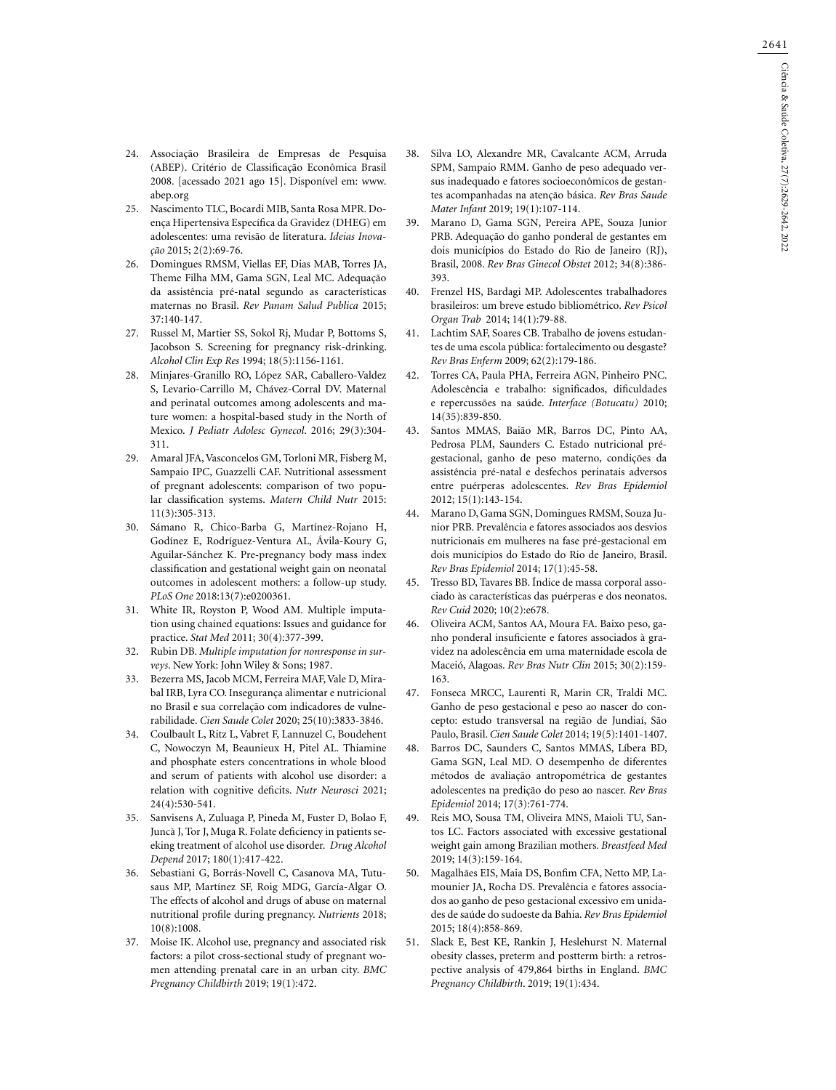- 24. Associação Brasileira de Empresas de Pesquisa (ABEP). Critério de Classificação Econômica Brasil 2008. [acessado 2021 ago 15]. Disponível em: [www.](about:blank) [abep.org](about:blank)
- 25. Nascimento TLC, Bocardi MIB, Santa Rosa MPR. Doença Hipertensiva Específica da Gravidez (DHEG) em adolescentes: uma revisão de literatura. *Ideias Inovação* 2015; 2(2):69-76.
- 26. Domingues RMSM, Viellas EF, Dias MAB, Torres JA, Theme Filha MM, Gama SGN, Leal MC. Adequação da assistência pré-natal segundo as características maternas no Brasil. *Rev Panam Salud Publica* 2015; 37:140-147.
- 27. Russel M, Martier SS, Sokol Rj, Mudar P, Bottoms S, Jacobson S. Screening for pregnancy risk-drinking. *Alcohol Clin Exp Res* 1994; 18(5):1156-1161.
- 28. Minjares-Granillo RO, López SAR, Caballero-Valdez S, Levario-Carrillo M, Chávez-Corral DV. Maternal and perinatal outcomes among adolescents and mature women: a hospital-based study in the North of Mexico. *J Pediatr Adolesc Gynecol*. 2016; 29(3):304- 311.
- 29. Amaral JFA, Vasconcelos GM, Torloni MR, Fisberg M, Sampaio IPC, Guazzelli CAF. Nutritional assessment of pregnant adolescents: comparison of two popular classification systems. *Matern Child Nutr* 2015: 11(3):305-313.
- 30. Sámano R, Chico-Barba G, Martínez-Rojano H, Godínez E, Rodríguez-Ventura AL, Ávila-Koury G, Aguilar-Sánchez K. Pre-pregnancy body mass index classification and gestational weight gain on neonatal outcomes in adolescent mothers: a follow-up study. *PLoS One* 2018:13(7):e0200361.
- 31. White IR, Royston P, Wood AM. Multiple imputation using chained equations: Issues and guidance for practice. *Stat Med* 2011; 30(4):377-399.
- 32. Rubin DB. *Multiple imputation for nonresponse in surveys*. New York: John Wiley & Sons; 1987.
- 33. Bezerra MS, Jacob MCM, Ferreira MAF, Vale D, Mirabal IRB, Lyra CO. Insegurança alimentar e nutricional no Brasil e sua correlação com indicadores de vulnerabilidade. *Cien Saude Colet* 2020; 25(10):3833-3846.
- 34. Coulbault L, Ritz L, Vabret F, Lannuzel C, Boudehent C, Nowoczyn M, Beaunieux H, Pitel AL. Thiamine and phosphate esters concentrations in whole blood and serum of patients with alcohol use disorder: a relation with cognitive deficits. *Nutr Neurosci* 2021; 24(4):530-541.
- 35. Sanvisens A, Zuluaga P, Pineda M, Fuster D, Bolao F, Juncà J, Tor J, Muga R. Folate deficiency in patients seeking treatment of alcohol use disorder. *[Drug Alcohol](about:blank) [Depend](about:blank)* 2017; 180(1):417-422.
- 36. Sebastiani G, Borrás-Novell C, Casanova MA, Tutusaus MP, Martínez SF, Roig MDG, García-Algar O. The effects of alcohol and drugs of abuse on maternal nutritional profile during pregnancy. *[Nutrients](about:blank)* 2018; 10(8):1008.
- 37. Moise IK. Alcohol use, pregnancy and associated risk factors: a pilot cross-sectional study of pregnant women attending prenatal care in an urban city. *BMC Pregnancy Childbirth* 2019; 19(1):472.
- 38. Silva LO, Alexandre MR, Cavalcante ACM, Arruda SPM, Sampaio RMM. Ganho de peso adequado versus inadequado e fatores socioeconômicos de gestantes acompanhadas na atenção básica. *Rev Bras Saude Mater Infant* 2019; 19(1):107-114.
- 39. Marano D, Gama SGN, Pereira APE, Souza Junior PRB. Adequação do ganho ponderal de gestantes em dois municípios do Estado do Rio de Janeiro (RJ), Brasil, 2008. *Rev Bras Ginecol Obstet* 2012; 34(8):386- 393.
- 40. Frenzel HS, Bardagi MP. Adolescentes trabalhadores brasileiros: um breve estudo bibliométrico. *Rev Psicol Organ Trab* 2014; 14(1):79-88.
- 41. Lachtim SAF, Soares CB. Trabalho de jovens estudantes de uma escola pública: fortalecimento ou desgaste? *Rev Bras Enferm* 2009; 62(2):179-186.
- 42. Torres CA, Paula PHA, Ferreira AGN, Pinheiro PNC. Adolescência e trabalho: significados, dificuldades e repercussões na saúde. *Interface (Botucatu)* 2010; 14(35):839-850.
- 43. Santos MMAS, Baião MR, Barros DC, Pinto AA, Pedrosa PLM, Saunders C. Estado nutricional prégestacional, ganho de peso materno, condições da assistência pré-natal e desfechos perinatais adversos entre puérperas adolescentes. *Rev Bras Epidemiol* 2012; 15(1):143-154.
- 44. Marano D, Gama SGN, Domingues RMSM, Souza Junior PRB. Prevalência e fatores associados aos desvios nutricionais em mulheres na fase pré-gestacional em dois municípios do Estado do Rio de Janeiro, Brasil. *Rev Bras Epidemiol* 2014; 17(1):45-58.
- 45. Tresso BD, Tavares BB. Índice de massa corporal associado às características das puérperas e dos neonatos. *[Rev Cuid](http://www.scielo.org.co/scielo.php?script=sci_serial&pid=2216-0973&lng=en&nrm=iso)* 2020; 10(2):e678.
- 46. Oliveira ACM, Santos AA, Moura FA. Baixo peso, ganho ponderal insuficiente e fatores associados à gravidez na adolescência em uma maternidade escola de Maceió, Alagoas. *Rev Bras Nutr Clin* 2015; 30(2):159- 163.
- 47. Fonseca MRCC, Laurenti R, Marin CR, Traldi MC. Ganho de peso gestacional e peso ao nascer do concepto: estudo transversal na região de Jundiaí, São Paulo, Brasil. *Cien Saude Colet* 2014; 19(5):1401-1407.
- 48. Barros DC, Saunders C, Santos MMAS, Líbera BD, Gama SGN, Leal MD. O desempenho de diferentes métodos de avaliação antropométrica de gestantes adolescentes na predição do peso ao nascer. *Rev Bras Epidemiol* 2014; 17(3):761-774.
- 49. Reis MO, Sousa TM, Oliveira MNS, Maioli TU, Santos LC. Factors associated with excessive gestational weight gain among Brazilian mothers. *Breastfeed Med* 2019; 14(3):159-164.
- 50. Magalhães EIS, Maia DS, Bonfim CFA, Netto MP, Lamounier JA, Rocha DS. Prevalência e fatores associados ao ganho de peso gestacional excessivo em unidades de saúde do sudoeste da Bahia. *Rev Bras Epidemiol* 2015; 18(4):858-869.
- 51. Slack E, Best KE, Rankin J, Heslehurst N. Maternal obesity classes, preterm and postterm birth: a retrospective analysis of 479,864 births in England. *BMC Pregnancy Childbirth*. 2019; 19(1):434.